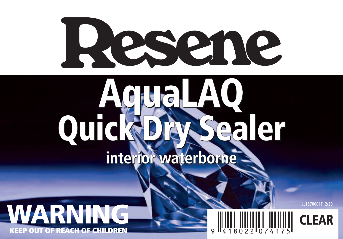